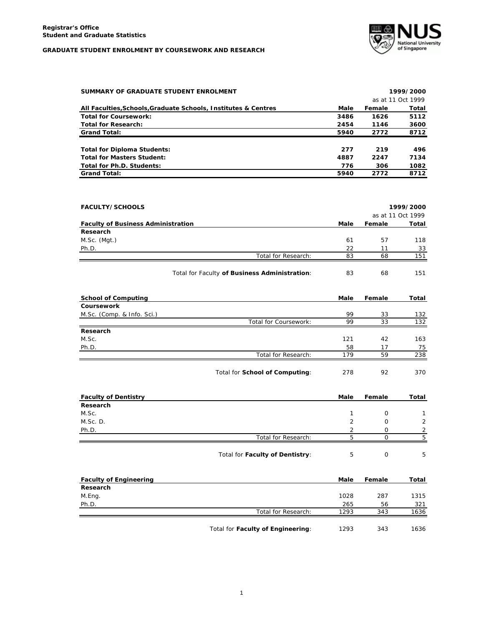

| SUMMARY OF GRADUATE STUDENT ENROLMENT                          |      |        | 1999/2000         |
|----------------------------------------------------------------|------|--------|-------------------|
|                                                                |      |        | as at 11 Oct 1999 |
| All Faculties, Schools, Graduate Schools, Institutes & Centres | Male | Female | Total             |
| <b>Total for Coursework:</b>                                   | 3486 | 1626   | 5112              |
| <b>Total for Research:</b>                                     | 2454 | 1146   | 3600              |
| <b>Grand Total:</b>                                            | 5940 | 2772   | 8712              |
| Total for Diploma Students:                                    | 277  | 219    | 496               |
| <b>Total for Masters Student:</b>                              | 4887 | 2247   | 7134              |
| Total for Ph.D. Students:                                      | 776  | 306    | 1082              |
| <b>Grand Total:</b>                                            | 5940 | 2772   | 8712              |

| <b>FACULTY/SCHOOLS</b>                    |                                               |      |        | 1999/2000         |
|-------------------------------------------|-----------------------------------------------|------|--------|-------------------|
|                                           |                                               |      |        | as at 11 Oct 1999 |
| <b>Faculty of Business Administration</b> |                                               | Male | Female | Total             |
| Research                                  |                                               |      |        |                   |
| M.Sc. (Mgt.)                              |                                               | 61   | 57     | 118               |
| Ph.D.                                     |                                               | 22   | 11     | 33                |
|                                           | Total for Research:                           | 83   | 68     | 151               |
|                                           | Total for Faculty of Business Administration: | 83   | 68     | 151               |

| <b>School of Computing</b> |                       | Male | Female | Total |
|----------------------------|-----------------------|------|--------|-------|
| Coursework                 |                       |      |        |       |
| M.Sc. (Comp. & Info. Sci.) |                       | 99   | 33     | 132   |
|                            | Total for Coursework: | 99   | 33     | 132   |
| Research                   |                       |      |        |       |
| M.Sc.                      |                       | 121  | 42     | 163   |
| Ph.D.                      |                       | 58   | 17     | 75    |
|                            | Total for Research:   | 179  | 59     | 238   |
|                            |                       |      |        |       |

| Total for School of Computing: | 278 | 92 | 370 |
|--------------------------------|-----|----|-----|
|--------------------------------|-----|----|-----|

| <b>Faculty of Dentistry</b> |                                 | Male           | Female   | Total         |
|-----------------------------|---------------------------------|----------------|----------|---------------|
| Research                    |                                 |                |          |               |
| M.Sc.                       |                                 |                | $\Omega$ |               |
| M.Sc. D.                    |                                 | $\overline{2}$ | 0        | $\mathcal{P}$ |
| Ph.D.                       |                                 | っ              | 0        | ∍             |
|                             | Total for Research:             | h              |          | Б,            |
|                             | Total for Faculty of Dentistry: | ь              | 0        | 5             |

| <b>Faculty of Engineering</b> |                                   | Male | Female | Total |
|-------------------------------|-----------------------------------|------|--------|-------|
| Research                      |                                   |      |        |       |
| M.Eng.                        |                                   | 1028 | 287    | 1315  |
| Ph.D.                         |                                   | 265  | 56     | 321   |
|                               | Total for Research:               | 1293 | 343    | 1636  |
|                               | Total for Faculty of Engineering: | 1293 | 343    | 1636  |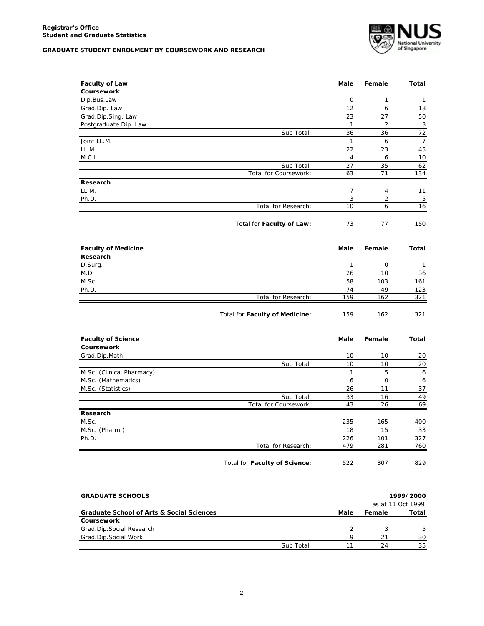

| <b>Faculty of Law</b>      |                                | Male         | Female         | Total          |
|----------------------------|--------------------------------|--------------|----------------|----------------|
| Coursework                 |                                |              |                |                |
| Dip.Bus.Law                |                                | 0            | $\mathbf{1}$   | $\mathbf{1}$   |
| Grad.Dip. Law              |                                | 12           | 6              | 18             |
| Grad.Dip.Sing. Law         |                                | 23           | 27             | 50             |
| Postgraduate Dip. Law      |                                | $\mathbf{1}$ | 2              | 3              |
|                            | Sub Total:                     | 36           | 36             | 72             |
| Joint LL.M.                |                                | $\mathbf{1}$ | 6              | $\overline{7}$ |
| LL.M.                      |                                | 22           | 23             | 45             |
| M.C.L.                     |                                | 4            | 6              | 10             |
|                            | Sub Total:                     | 27           | 35             | 62             |
|                            | Total for Coursework:          | 63           | 71             | 134            |
| Research                   |                                |              |                |                |
| LL.M.                      |                                | 7            | 4              | 11             |
| Ph.D.                      |                                | 3            | $\overline{2}$ | 5              |
|                            | Total for Research:            | 10           | 6              | 16             |
|                            | Total for Faculty of Law:      | 73           | 77             | 150            |
|                            |                                |              |                |                |
| <b>Faculty of Medicine</b> |                                | Male         | Female         | Total          |
| Research                   |                                |              |                |                |
| D.Surg.                    |                                | $\mathbf{1}$ | $\mathbf 0$    | $\mathbf{1}$   |
| M.D.                       |                                | 26           | 10             | 36             |
| M.Sc.                      |                                | 58           | 103            | 161            |
| Ph.D.                      |                                | 74           | 49             | 123            |
|                            | Total for Research:            | 159          | 162            | 321            |
|                            | Total for Faculty of Medicine: | 159          | 162            | 321            |
| <b>Faculty of Science</b>  |                                | Male         | Female         | Total          |
| Coursework                 |                                |              |                |                |
| Grad.Dip.Math              |                                | 10           | 10             | 20             |
|                            | Sub Total:                     | 10           | 10             | 20             |
| M.Sc. (Clinical Pharmacy)  |                                | $\mathbf{1}$ | 5              | 6              |
| M.Sc. (Mathematics)        |                                | 6            | $\mathsf{O}$   | 6              |
| M.Sc. (Statistics)         |                                | 26           | 11             | 37             |
|                            | Sub Total:                     | 33           | 16             | 49             |
|                            | Total for Coursework:          | 43           | 26             | 69             |
| Research                   |                                |              |                |                |
| M.Sc.                      |                                | 235          | 165            | 400            |
| M.Sc. (Pharm.)             |                                | 18           | 15             | 33             |
| Ph.D.                      |                                | 226          | 101            | 327            |
|                            | Total for Research:            | 479          | 281            | 760            |
|                            |                                |              |                |                |

| <b>GRADUATE SCHOOLS</b>                   |            |      | 1999/2000 |                   |
|-------------------------------------------|------------|------|-----------|-------------------|
|                                           |            |      |           | as at 11 Oct 1999 |
| Graduate School of Arts & Social Sciences |            | Male | Female    | Total             |
| Coursework                                |            |      |           |                   |
| Grad.Dip.Social Research                  |            |      |           | 5.                |
| Grad.Dip.Social Work                      |            | Q    | 21        | 30                |
|                                           | Sub Total: |      | 24        | 35                |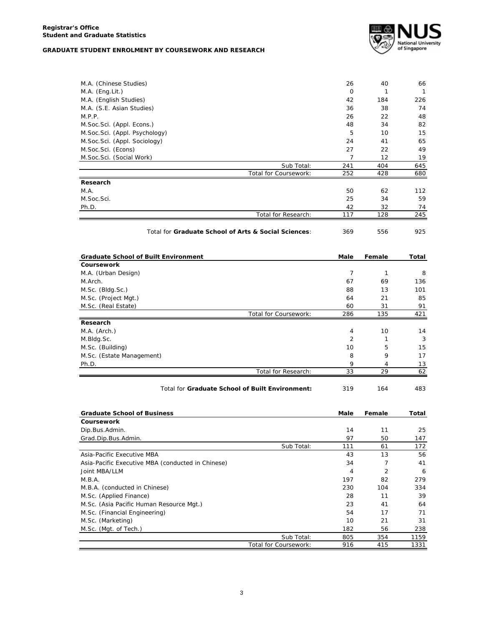

| M.A. (Chinese Studies)                               | 26             | 40             | 66           |
|------------------------------------------------------|----------------|----------------|--------------|
| M.A. (Eng.Lit.)                                      | $\mathbf 0$    | 1              | $\mathbf{1}$ |
| M.A. (English Studies)                               | 42             | 184            | 226          |
| M.A. (S.E. Asian Studies)                            | 36             | 38             | 74           |
| M.P.P.                                               | 26             | 22             | 48           |
| M.Soc.Sci. (Appl. Econs.)                            | 48             | 34             | 82           |
| M.Soc.Sci. (Appl. Psychology)                        | 5              | 10             | 15           |
| M.Soc.Sci. (Appl. Sociology)                         | 24             | 41             | 65           |
| M.Soc.Sci. (Econs)                                   | 27             | 22             | 49           |
| M.Soc.Sci. (Social Work)                             | $\overline{7}$ | 12             | 19           |
| Sub Total:                                           | 241            | 404            | 645          |
| Total for Coursework:                                | 252            | 428            | 680          |
| Research                                             |                |                |              |
| M.A.                                                 | 50             | 62             | 112          |
| M.Soc.Sci.                                           | 25             | 34             | 59           |
| Ph.D.                                                | 42             | 32             | 74           |
| Total for Research:                                  | 117            | 128            | 245          |
| Total for Graduate School of Arts & Social Sciences: | 369            | 556            | 925          |
| <b>Graduate School of Built Environment</b>          | Male           | Female         | Total        |
| Coursework                                           |                |                |              |
| M.A. (Urban Design)                                  | 7              | $\mathbf{1}$   | 8            |
| M.Arch.                                              | 67             | 69             | 136          |
| M.Sc. (Bldg.Sc.)                                     | 88             | 13             | 101          |
| M.Sc. (Project Mgt.)                                 | 64             | 21             | 85           |
| M.Sc. (Real Estate)                                  | 60             | 31             | 91           |
| Total for Coursework:                                | 286            | 135            | 421          |
| Research                                             |                |                |              |
| M.A. (Arch.)                                         | 4              | 10             | 14           |
| M.Bldg.Sc.                                           | 2              | 1              | 3            |
| M.Sc. (Building)                                     | 10             | 5              | 15           |
| M.Sc. (Estate Management)                            | 8              | 9              | 17           |
| Ph.D.                                                | 9              | 4              | 13           |
| Total for Research:                                  | 33             | 29             | 62           |
| Total for Graduate School of Built Environment:      | 319            | 164            | 483          |
| <b>Graduate School of Business</b>                   | Male           | Female         | Total        |
|                                                      |                |                |              |
| Coursework                                           |                |                |              |
| Dip.Bus.Admin.                                       | 14             | 11             | 25           |
| Grad.Dip.Bus.Admin.                                  | 97             | 50             | 147          |
| Sub Total:                                           | 111            | 61             | 172          |
| Asia-Pacific Executive MBA                           | 43             | 13             | 56           |
| Asia-Pacific Executive MBA (conducted in Chinese)    | 34             | 7              | 41           |
| Joint MBA/LLM                                        | 4              | $\overline{2}$ | 6            |
| M.B.A.                                               | 197            | 82             | 279          |
| M.B.A. (conducted in Chinese)                        | 230            | 104            | 334          |
| M.Sc. (Applied Finance)                              | 28             | 11             | 39           |
| M.Sc. (Asia Pacific Human Resource Mgt.)             | 23             | 41             | 64           |
| M.Sc. (Financial Engineering)                        | 54             | 17             | 71           |
| M.Sc. (Marketing)                                    | 10             | 21             | 31           |
| M.Sc. (Mgt. of Tech.)<br>Sub Total:                  | 182<br>805     | 56<br>354      | 238<br>1159  |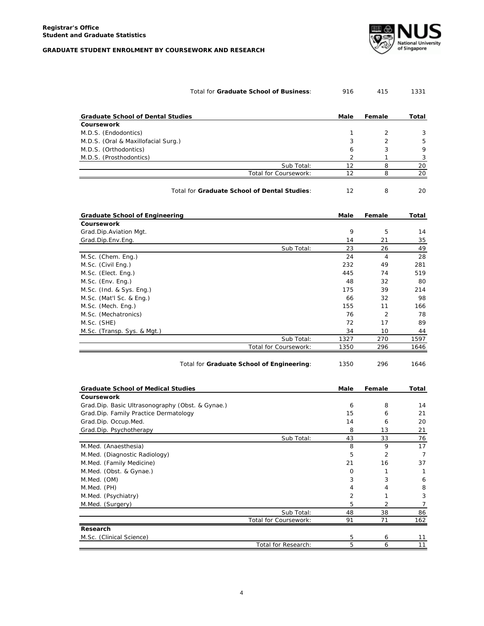

| Total for Graduate School of Business: | 916 | 415 | 1331 |
|----------------------------------------|-----|-----|------|
|                                        |     |     |      |

| <b>Graduate School of Dental Studies</b> |                       | Male | Female | Total |
|------------------------------------------|-----------------------|------|--------|-------|
| Coursework                               |                       |      |        |       |
| M.D.S. (Endodontics)                     |                       |      |        | 3     |
| M.D.S. (Oral & Maxillofacial Surg.)      |                       | 3    |        | 5     |
| M.D.S. (Orthodontics)                    |                       | 6    | 3      | 9     |
| M.D.S. (Prosthodontics)                  |                       |      |        |       |
|                                          | Sub Total:            | 12   |        | 20    |
|                                          | Total for Coursework: | 12   |        | 20    |

| Total for Graduate School of Dental Studies: |  |  |  |
|----------------------------------------------|--|--|--|
|----------------------------------------------|--|--|--|

| <b>Graduate School of Engineering</b> |                       | Male | Female | Total |
|---------------------------------------|-----------------------|------|--------|-------|
| <b>Coursework</b>                     |                       |      |        |       |
| Grad.Dip.Aviation Mgt.                |                       | 9    | 5      | 14    |
| Grad.Dip.Env.Eng.                     |                       | 14   | 21     | 35    |
|                                       | Sub Total:            | 23   | 26     | 49    |
| M.Sc. (Chem. Eng.)                    |                       | 24   | 4      | 28    |
| M.Sc. (Civil Eng.)                    |                       | 232  | 49     | 281   |
| M.Sc. (Elect. Eng.)                   |                       | 445  | 74     | 519   |
| M.Sc. (Env. Eng.)                     |                       | 48   | 32     | 80    |
| M.Sc. (Ind. & Sys. Eng.)              |                       | 175  | 39     | 214   |
| M.Sc. (Mat'l Sc. & Eng.)              |                       | 66   | 32     | 98    |
| M.Sc. (Mech. Eng.)                    |                       | 155  | 11     | 166   |
| M.Sc. (Mechatronics)                  |                       | 76   | 2      | 78    |
| M.Sc. (SHE)                           |                       | 72   | 17     | 89    |
| M.Sc. (Transp. Sys. & Mgt.)           |                       | 34   | 10     | 44    |
|                                       | Sub Total:            | 1327 | 270    | 1597  |
|                                       | Total for Coursework: | 1350 | 296    | 1646  |

| Total for Graduate School of Engineering: | 1350 | 296 | 1646 |
|-------------------------------------------|------|-----|------|
|-------------------------------------------|------|-----|------|

| <b>Graduate School of Medical Studies</b>        |                       | Male | Female | Total |
|--------------------------------------------------|-----------------------|------|--------|-------|
| Coursework                                       |                       |      |        |       |
| Grad.Dip. Basic Ultrasonography (Obst. & Gynae.) |                       | 6    | 8      | 14    |
| Grad.Dip. Family Practice Dermatology            |                       | 15   | 6      | 21    |
| Grad.Dip. Occup.Med.                             |                       | 14   | 6      | 20    |
| Grad.Dip. Psychotherapy                          |                       | 8    | 13     | 21    |
|                                                  | Sub Total:            | 43   | 33     | 76    |
| M.Med. (Anaesthesia)                             |                       | 8    | 9      | 17    |
| M.Med. (Diagnostic Radiology)                    |                       | 5    | 2      | 7     |
| M.Med. (Family Medicine)                         |                       | 21   | 16     | 37    |
| M.Med. (Obst. & Gynae.)                          |                       | 0    |        |       |
| M.Med. (OM)                                      |                       | 3    | 3      | 6     |
| M.Med. (PH)                                      |                       | 4    |        | 8     |
| M.Med. (Psychiatry)                              |                       | 2    |        | 3     |
| M.Med. (Surgery)                                 |                       | 5    | 2      |       |
|                                                  | Sub Total:            | 48   | 38     | 86    |
|                                                  | Total for Coursework: | 91   | 71     | 162   |
| Research                                         |                       |      |        |       |
| M.Sc. (Clinical Science)                         |                       | 5    | 6      | 11    |
|                                                  | Total for Research:   | 5    | 6      | 11    |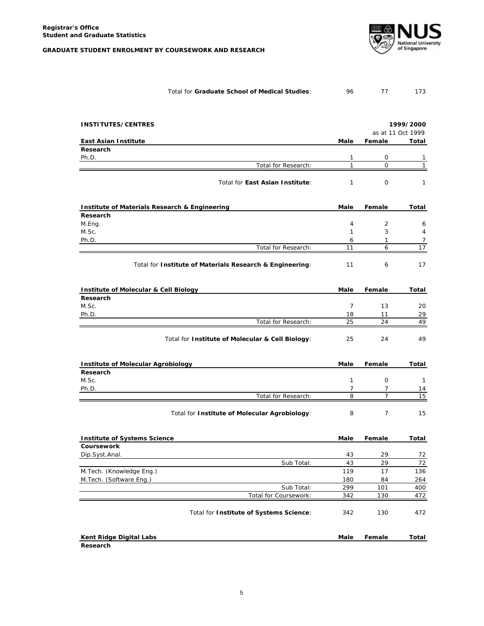

| Total for Graduate School of Medical Studies: |  | 173 |
|-----------------------------------------------|--|-----|
|                                               |  |     |

| <b>INSTITUTES/CENTRES</b>                                |                |                | 1999/2000         |  |
|----------------------------------------------------------|----------------|----------------|-------------------|--|
|                                                          |                |                | as at 11 Oct 1999 |  |
| <b>East Asian Institute</b>                              | Male           | Female         | Total             |  |
| Research                                                 |                |                |                   |  |
| Ph.D.                                                    | 1              | 0              | 1                 |  |
| Total for Research:                                      | $\mathbf{1}$   | $\mathbf 0$    | $\mathbf{1}$      |  |
| Total for East Asian Institute:                          | $\mathbf{1}$   | $\mathbf 0$    | $\mathbf{1}$      |  |
| Institute of Materials Research & Engineering            | Male           | Female         | Total             |  |
| Research                                                 |                |                |                   |  |
| M.Eng.                                                   | $\overline{4}$ | 2              | 6                 |  |
| M.Sc.                                                    | $\mathbf{1}$   | 3              | 4                 |  |
| Ph.D.                                                    | 6              | $\mathbf{1}$   | 7                 |  |
| Total for Research:                                      | 11             | 6              | 17                |  |
| Total for Institute of Materials Research & Engineering: | 11             | 6              | 17                |  |
| <b>Institute of Molecular &amp; Cell Biology</b>         | Male           | Female         | Total             |  |
| Research                                                 |                |                |                   |  |
| M.Sc.                                                    | $\overline{7}$ | 13             | 20                |  |
| Ph.D.                                                    | 18             | 11             | 29                |  |
| Total for Research:                                      | 25             | 24             | 49                |  |
| Total for Institute of Molecular & Cell Biology:         | 25             | 24             | 49                |  |
| <b>Institute of Molecular Agrobiology</b>                | Male           | Female         | Total             |  |
| Research                                                 |                |                |                   |  |
| M.Sc.                                                    | $\mathbf{1}$   | $\mathbf 0$    | $\mathbf{1}$      |  |
| Ph.D.                                                    | $\overline{7}$ | 7              | 14                |  |
| Total for Research:                                      | 8              | $\overline{7}$ | 15                |  |
| Total for Institute of Molecular Agrobiology:            | 8              | 7              | 15                |  |
| <b>Institute of Systems Science</b>                      | Male           | Female         | Total             |  |
| <b>Coursework</b>                                        |                |                |                   |  |
| Dip.Syst.Anal.                                           | 43             | 29             | 72                |  |
| Sub Total:                                               | 43             | 29             | 72                |  |
| M.Tech. (Knowledge Eng.)                                 | 119            | 17             | 136               |  |
| M.Tech. (Software Eng.)                                  | 180            | 84             | 264               |  |
| Sub Total:                                               | 299            | 101            | 400               |  |
| Total for Coursework:                                    | 342            | 130            | 472               |  |
| Total for Institute of Systems Science:                  | 342            | 130            | 472               |  |
| Kent Ridge Digital Labs                                  | Male           | Female         | Total             |  |
| Research                                                 |                |                |                   |  |